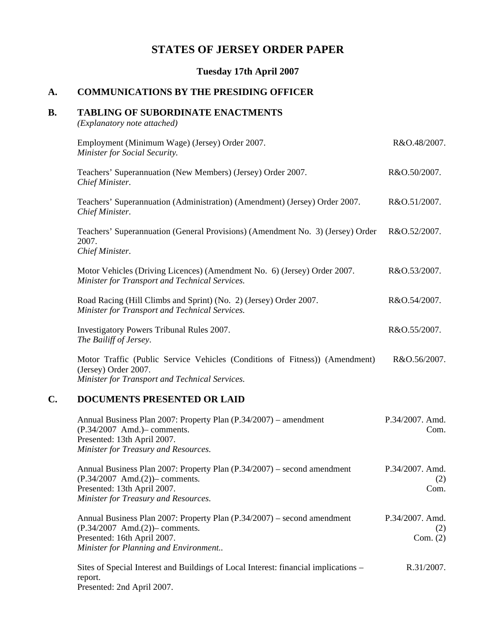# **STATES OF JERSEY ORDER PAPER**

**Tuesday 17th April 2007**

# **A. COMMUNICATIONS BY THE PRESIDING OFFICER**

# **B. TABLING OF SUBORDINATE ENACTMENTS**

*(Explanatory note attached)*

|    | Employment (Minimum Wage) (Jersey) Order 2007.<br>Minister for Social Security.                                                                                                         | R&O.48/2007.                         |
|----|-----------------------------------------------------------------------------------------------------------------------------------------------------------------------------------------|--------------------------------------|
|    | Teachers' Superannuation (New Members) (Jersey) Order 2007.<br>Chief Minister.                                                                                                          | R&O.50/2007.                         |
|    | Teachers' Superannuation (Administration) (Amendment) (Jersey) Order 2007.<br>Chief Minister.                                                                                           | R&O.51/2007.                         |
|    | Teachers' Superannuation (General Provisions) (Amendment No. 3) (Jersey) Order<br>2007.<br>Chief Minister.                                                                              | R&O.52/2007.                         |
|    | Motor Vehicles (Driving Licences) (Amendment No. 6) (Jersey) Order 2007.<br>Minister for Transport and Technical Services.                                                              | R&O.53/2007.                         |
|    | Road Racing (Hill Climbs and Sprint) (No. 2) (Jersey) Order 2007.<br>Minister for Transport and Technical Services.                                                                     | R&O.54/2007.                         |
|    | Investigatory Powers Tribunal Rules 2007.<br>The Bailiff of Jersey.                                                                                                                     | R&O.55/2007.                         |
|    | Motor Traffic (Public Service Vehicles (Conditions of Fitness)) (Amendment)<br>(Jersey) Order 2007.<br>Minister for Transport and Technical Services.                                   | R&O.56/2007.                         |
| C. | <b>DOCUMENTS PRESENTED OR LAID</b>                                                                                                                                                      |                                      |
|    | Annual Business Plan 2007: Property Plan (P.34/2007) – amendment<br>(P.34/2007 Amd.) - comments.<br>Presented: 13th April 2007.<br>Minister for Treasury and Resources.                 | P.34/2007. Amd.<br>Com.              |
|    | Annual Business Plan 2007: Property Plan (P.34/2007) – second amendment<br>$(P.34/2007$ Amd. $(2))$ – comments.<br>Presented: 13th April 2007.<br>Minister for Treasury and Resources.  | P.34/2007. Amd.<br>(2)<br>Com.       |
|    | Annual Business Plan 2007: Property Plan (P.34/2007) – second amendment<br>$(P.34/2007$ Amd. $(2))$ – comments.<br>Presented: 16th April 2007.<br>Minister for Planning and Environment | P.34/2007. Amd.<br>(2)<br>Com. $(2)$ |

Sites of Special Interest and Buildings of Local Interest: financial implications – report. Presented: 2nd April 2007. R.31/2007.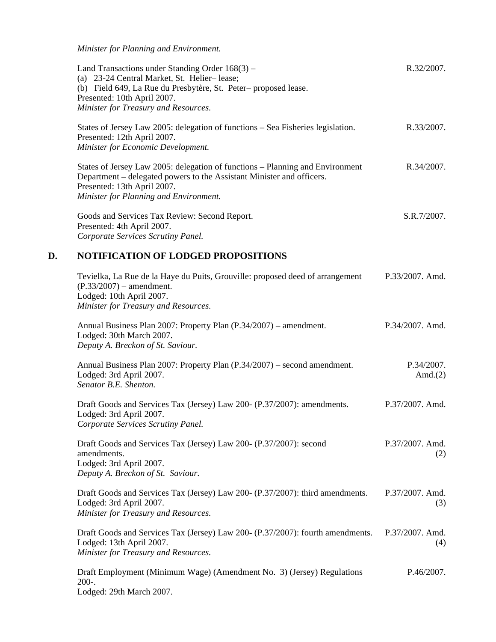*Minister for Planning and Environment.*

|    | Land Transactions under Standing Order 168(3) –<br>(a) 23-24 Central Market, St. Helier-lease;<br>(b) Field 649, La Rue du Presbytère, St. Peter-proposed lease.<br>Presented: 10th April 2007.<br>Minister for Treasury and Resources. | R.32/2007.               |
|----|-----------------------------------------------------------------------------------------------------------------------------------------------------------------------------------------------------------------------------------------|--------------------------|
|    | States of Jersey Law 2005: delegation of functions - Sea Fisheries legislation.<br>Presented: 12th April 2007.<br>Minister for Economic Development.                                                                                    | R.33/2007.               |
|    | States of Jersey Law 2005: delegation of functions – Planning and Environment<br>Department – delegated powers to the Assistant Minister and officers.<br>Presented: 13th April 2007.<br>Minister for Planning and Environment.         | R.34/2007.               |
|    | Goods and Services Tax Review: Second Report.<br>Presented: 4th April 2007.<br>Corporate Services Scrutiny Panel.                                                                                                                       | S.R.7/2007.              |
| D. | NOTIFICATION OF LODGED PROPOSITIONS                                                                                                                                                                                                     |                          |
|    | Tevielka, La Rue de la Haye du Puits, Grouville: proposed deed of arrangement<br>$(P.33/2007)$ – amendment.<br>Lodged: 10th April 2007.<br>Minister for Treasury and Resources.                                                         | P.33/2007. Amd.          |
|    | Annual Business Plan 2007: Property Plan (P.34/2007) – amendment.<br>Lodged: 30th March 2007.<br>Deputy A. Breckon of St. Saviour.                                                                                                      | P.34/2007. Amd.          |
|    | Annual Business Plan 2007: Property Plan (P.34/2007) – second amendment.<br>Lodged: 3rd April 2007.<br>Senator B.E. Shenton.                                                                                                            | P.34/2007.<br>Amd. $(2)$ |
|    | Draft Goods and Services Tax (Jersey) Law 200- (P.37/2007): amendments.<br>Lodged: 3rd April 2007.<br>Corporate Services Scrutiny Panel.                                                                                                | P.37/2007. Amd.          |
|    | Draft Goods and Services Tax (Jersey) Law 200- (P.37/2007): second<br>amendments.<br>Lodged: 3rd April 2007.<br>Deputy A. Breckon of St. Saviour.                                                                                       | P.37/2007. Amd.<br>(2)   |
|    | Draft Goods and Services Tax (Jersey) Law 200- (P.37/2007): third amendments.<br>Lodged: 3rd April 2007.<br>Minister for Treasury and Resources.                                                                                        | P.37/2007. Amd.<br>(3)   |
|    | Draft Goods and Services Tax (Jersey) Law 200- (P.37/2007): fourth amendments.<br>Lodged: 13th April 2007.<br>Minister for Treasury and Resources.                                                                                      | P.37/2007. Amd.<br>(4)   |
|    | Draft Employment (Minimum Wage) (Amendment No. 3) (Jersey) Regulations<br>$200-.$                                                                                                                                                       | P.46/2007.               |

Lodged: 29th March 2007.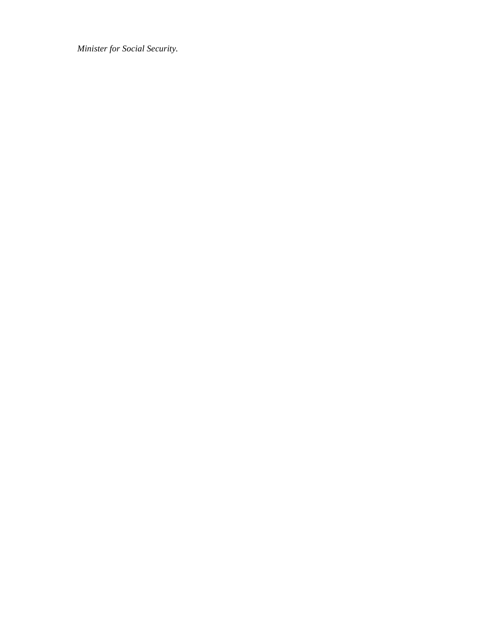*Minister for Social Security.*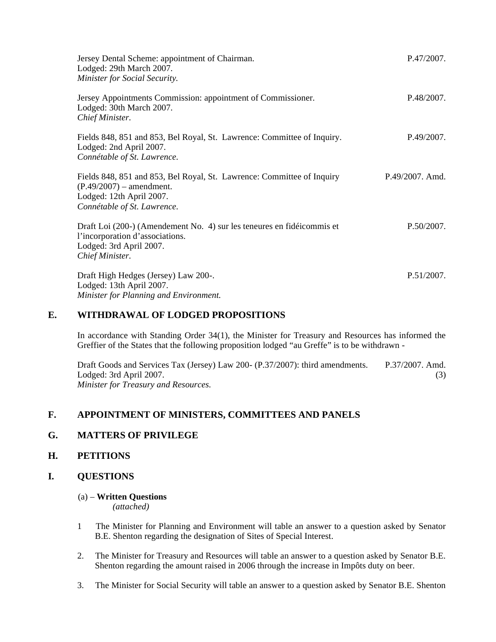| Jersey Dental Scheme: appointment of Chairman.<br>Lodged: 29th March 2007.<br>Minister for Social Security.                                                     | P.47/2007.      |
|-----------------------------------------------------------------------------------------------------------------------------------------------------------------|-----------------|
| Jersey Appointments Commission: appointment of Commissioner.<br>Lodged: 30th March 2007.<br>Chief Minister.                                                     | P.48/2007.      |
| Fields 848, 851 and 853, Bel Royal, St. Lawrence: Committee of Inquiry.<br>Lodged: 2nd April 2007.<br>Connétable of St. Lawrence.                               | P.49/2007.      |
| Fields 848, 851 and 853, Bel Royal, St. Lawrence: Committee of Inquiry<br>$(P.49/2007)$ – amendment.<br>Lodged: 12th April 2007.<br>Connétable of St. Lawrence. | P.49/2007. Amd. |
| Draft Loi (200-) (Amendement No. 4) sur les teneures en fidéicommis et<br>l'incorporation d'associations.<br>Lodged: 3rd April 2007.<br>Chief Minister.         | P.50/2007.      |
| Draft High Hedges (Jersey) Law 200-.<br>Lodged: 13th April 2007.<br>Minister for Planning and Environment.                                                      | P.51/2007.      |

# **E. WITHDRAWAL OF LODGED PROPOSITIONS**

In accordance with Standing Order 34(1), the Minister for Treasury and Resources has informed the Greffier of the States that the following proposition lodged "au Greffe" is to be withdrawn -

Draft Goods and Services Tax (Jersey) Law 200- (P.37/2007): third amendments. Lodged: 3rd April 2007. *Minister for Treasury and Resources.* P.37/2007. Amd. (3)

# **F. APPOINTMENT OF MINISTERS, COMMITTEES AND PANELS**

#### **G. MATTERS OF PRIVILEGE**

## **H. PETITIONS**

## **I. QUESTIONS**

## (a) – **Written Questions**

*(attached)*

- 1 The Minister for Planning and Environment will table an answer to a question asked by Senator B.E. Shenton regarding the designation of Sites of Special Interest.
- 2. The Minister for Treasury and Resources will table an answer to a question asked by Senator B.E. Shenton regarding the amount raised in 2006 through the increase in Impôts duty on beer.
- 3. The Minister for Social Security will table an answer to a question asked by Senator B.E. Shenton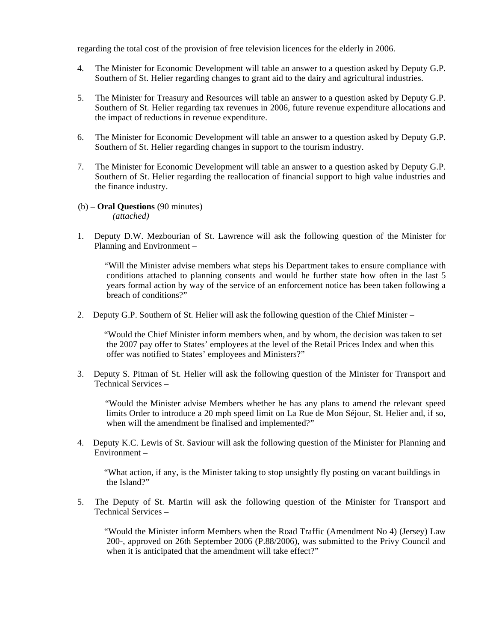regarding the total cost of the provision of free television licences for the elderly in 2006.

- 4. The Minister for Economic Development will table an answer to a question asked by Deputy G.P. Southern of St. Helier regarding changes to grant aid to the dairy and agricultural industries.
- 5. The Minister for Treasury and Resources will table an answer to a question asked by Deputy G.P. Southern of St. Helier regarding tax revenues in 2006, future revenue expenditure allocations and the impact of reductions in revenue expenditure.
- 6. The Minister for Economic Development will table an answer to a question asked by Deputy G.P. Southern of St. Helier regarding changes in support to the tourism industry.
- 7. The Minister for Economic Development will table an answer to a question asked by Deputy G.P. Southern of St. Helier regarding the reallocation of financial support to high value industries and the finance industry.
- (b) **Oral Questions** (90 minutes) *(attached)*
- 1. Deputy D.W. Mezbourian of St. Lawrence will ask the following question of the Minister for Planning and Environment –

 "Will the Minister advise members what steps his Department takes to ensure compliance with conditions attached to planning consents and would he further state how often in the last 5 years formal action by way of the service of an enforcement notice has been taken following a breach of conditions?"

2. Deputy G.P. Southern of St. Helier will ask the following question of the Chief Minister –

 "Would the Chief Minister inform members when, and by whom, the decision was taken to set the 2007 pay offer to States' employees at the level of the Retail Prices Index and when this offer was notified to States' employees and Ministers?"

3. Deputy S. Pitman of St. Helier will ask the following question of the Minister for Transport and Technical Services –

 "Would the Minister advise Members whether he has any plans to amend the relevant speed limits Order to introduce a 20 mph speed limit on La Rue de Mon Séjour, St. Helier and, if so, when will the amendment be finalised and implemented?"

4. Deputy K.C. Lewis of St. Saviour will ask the following question of the Minister for Planning and Environment –

 "What action, if any, is the Minister taking to stop unsightly fly posting on vacant buildings in the Island?"

5. The Deputy of St. Martin will ask the following question of the Minister for Transport and Technical Services –

 "Would the Minister inform Members when the Road Traffic (Amendment No 4) (Jersey) Law 200-, approved on 26th September 2006 (P.88/2006), was submitted to the Privy Council and when it is anticipated that the amendment will take effect?"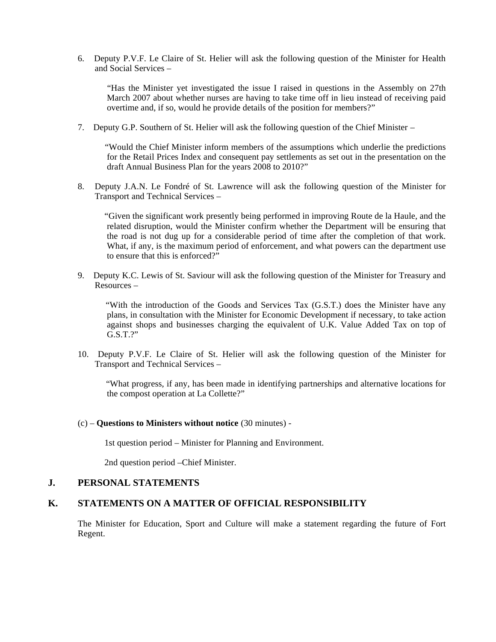6. Deputy P.V.F. Le Claire of St. Helier will ask the following question of the Minister for Health and Social Services –

 "Has the Minister yet investigated the issue I raised in questions in the Assembly on 27th March 2007 about whether nurses are having to take time off in lieu instead of receiving paid overtime and, if so, would he provide details of the position for members?"

7. Deputy G.P. Southern of St. Helier will ask the following question of the Chief Minister –

 "Would the Chief Minister inform members of the assumptions which underlie the predictions for the Retail Prices Index and consequent pay settlements as set out in the presentation on the draft Annual Business Plan for the years 2008 to 2010?"

8. Deputy J.A.N. Le Fondré of St. Lawrence will ask the following question of the Minister for Transport and Technical Services –

 "Given the significant work presently being performed in improving Route de la Haule, and the related disruption, would the Minister confirm whether the Department will be ensuring that the road is not dug up for a considerable period of time after the completion of that work. What, if any, is the maximum period of enforcement, and what powers can the department use to ensure that this is enforced?"

9. Deputy K.C. Lewis of St. Saviour will ask the following question of the Minister for Treasury and Resources –

 "With the introduction of the Goods and Services Tax (G.S.T.) does the Minister have any plans, in consultation with the Minister for Economic Development if necessary, to take action against shops and businesses charging the equivalent of U.K. Value Added Tax on top of G.S.T.?"

10. Deputy P.V.F. Le Claire of St. Helier will ask the following question of the Minister for Transport and Technical Services –

 "What progress, if any, has been made in identifying partnerships and alternative locations for the compost operation at La Collette?"

#### (c) – **Questions to Ministers without notice** (30 minutes) -

1st question period – Minister for Planning and Environment.

2nd question period –Chief Minister.

### **J. PERSONAL STATEMENTS**

#### **K. STATEMENTS ON A MATTER OF OFFICIAL RESPONSIBILITY**

The Minister for Education, Sport and Culture will make a statement regarding the future of Fort Regent.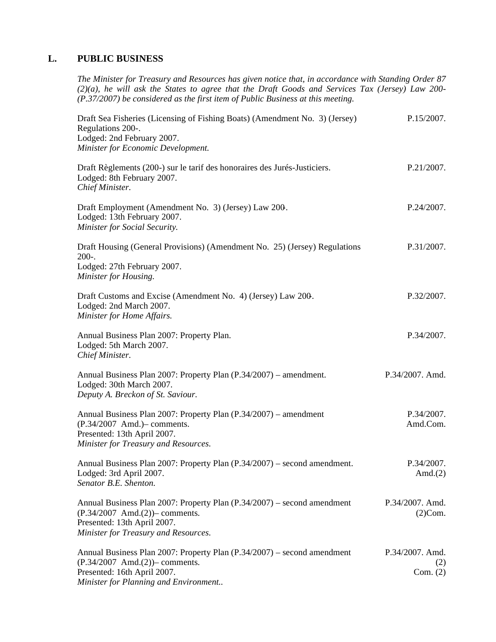# **L. PUBLIC BUSINESS**

*The Minister for Treasury and Resources has given notice that, in accordance with Standing Order 87 (2)(a), he will ask the States to agree that the Draft Goods and Services Tax (Jersey) Law 200- (P.37/2007) be considered as the first item of Public Business at this meeting.*

| Draft Sea Fisheries (Licensing of Fishing Boats) (Amendment No. 3) (Jersey)<br>Regulations 200-.<br>Lodged: 2nd February 2007.<br>Minister for Economic Development.                    | P.15/2007.                         |
|-----------------------------------------------------------------------------------------------------------------------------------------------------------------------------------------|------------------------------------|
| Draft Règlements (200-) sur le tarif des honoraires des Jurés-Justiciers.<br>Lodged: 8th February 2007.<br>Chief Minister.                                                              | P.21/2007.                         |
| Draft Employment (Amendment No. 3) (Jersey) Law 200.<br>Lodged: 13th February 2007.<br>Minister for Social Security.                                                                    | P.24/2007.                         |
| Draft Housing (General Provisions) (Amendment No. 25) (Jersey) Regulations<br>$200-.$<br>Lodged: 27th February 2007.<br>Minister for Housing.                                           | P.31/2007.                         |
| Draft Customs and Excise (Amendment No. 4) (Jersey) Law 200.<br>Lodged: 2nd March 2007.<br>Minister for Home Affairs.                                                                   | P.32/2007.                         |
| Annual Business Plan 2007: Property Plan.<br>Lodged: 5th March 2007.<br>Chief Minister.                                                                                                 | P.34/2007.                         |
| Annual Business Plan 2007: Property Plan (P.34/2007) - amendment.<br>Lodged: 30th March 2007.<br>Deputy A. Breckon of St. Saviour.                                                      | P.34/2007. Amd.                    |
| Annual Business Plan 2007: Property Plan (P.34/2007) - amendment<br>(P.34/2007 Amd.) – comments.<br>Presented: 13th April 2007.<br>Minister for Treasury and Resources.                 | P.34/2007.<br>Amd.Com.             |
| Annual Business Plan 2007: Property Plan (P.34/2007) – second amendment.<br>Lodged: 3rd April 2007.<br>Senator B.E. Shenton.                                                            | P.34/2007.<br>Amd. $(2)$           |
| Annual Business Plan 2007: Property Plan (P.34/2007) - second amendment<br>$(P.34/2007$ Amd. $(2))$ – comments.<br>Presented: 13th April 2007.<br>Minister for Treasury and Resources.  | P.34/2007. Amd.<br>$(2)$ Com.      |
| Annual Business Plan 2007: Property Plan (P.34/2007) – second amendment<br>$(P.34/2007$ Amd. $(2))$ – comments.<br>Presented: 16th April 2007.<br>Minister for Planning and Environment | P.34/2007. Amd.<br>(2)<br>Com. (2) |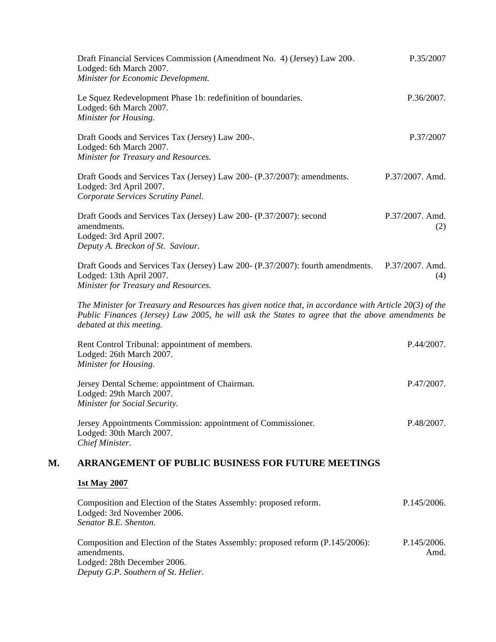|    | Draft Financial Services Commission (Amendment No. 4) (Jersey) Law 200.<br>Lodged: 6th March 2007.<br>Minister for Economic Development.                                                                                                | P.35/2007              |
|----|-----------------------------------------------------------------------------------------------------------------------------------------------------------------------------------------------------------------------------------------|------------------------|
|    | Le Squez Redevelopment Phase 1b: redefinition of boundaries.<br>Lodged: 6th March 2007.<br>Minister for Housing.                                                                                                                        | P.36/2007.             |
|    | Draft Goods and Services Tax (Jersey) Law 200-.<br>Lodged: 6th March 2007.<br>Minister for Treasury and Resources.                                                                                                                      | P.37/2007              |
|    | Draft Goods and Services Tax (Jersey) Law 200- (P.37/2007): amendments.<br>Lodged: 3rd April 2007.<br>Corporate Services Scrutiny Panel.                                                                                                | P.37/2007. Amd.        |
|    | Draft Goods and Services Tax (Jersey) Law 200- (P.37/2007): second<br>amendments.<br>Lodged: 3rd April 2007.<br>Deputy A. Breckon of St. Saviour.                                                                                       | P.37/2007. Amd.<br>(2) |
|    | Draft Goods and Services Tax (Jersey) Law 200- (P.37/2007): fourth amendments. P.37/2007. Amd.<br>Lodged: 13th April 2007.<br>Minister for Treasury and Resources.                                                                      | (4)                    |
|    | The Minister for Treasury and Resources has given notice that, in accordance with Article $20(3)$ of the<br>Public Finances (Jersey) Law 2005, he will ask the States to agree that the above amendments be<br>debated at this meeting. |                        |
|    | Rent Control Tribunal: appointment of members.<br>Lodged: 26th March 2007.<br>Minister for Housing.                                                                                                                                     | P.44/2007.             |
|    | Jersey Dental Scheme: appointment of Chairman.<br>Lodged: 29th March 2007.<br>Minister for Social Security.                                                                                                                             | P.47/2007.             |
|    | Jersey Appointments Commission: appointment of Commissioner.<br>Lodged: 30th March 2007.<br>Chief Minister.                                                                                                                             | P.48/2007.             |
| М. | <b>ARRANGEMENT OF PUBLIC BUSINESS FOR FUTURE MEETINGS</b>                                                                                                                                                                               |                        |
|    | 1st May 2007                                                                                                                                                                                                                            |                        |
|    | Composition and Election of the States Assembly: proposed reform.<br>Lodged: 3rd November 2006.<br>Senator B.E. Shenton.                                                                                                                | P.145/2006.            |
|    | Composition and Election of the States Assembly: proposed reform (P.145/2006):<br>amendments.<br>Lodged: 28th December 2006.                                                                                                            | P.145/2006.<br>Amd.    |

*Deputy G.P. Southern of St. Helier.*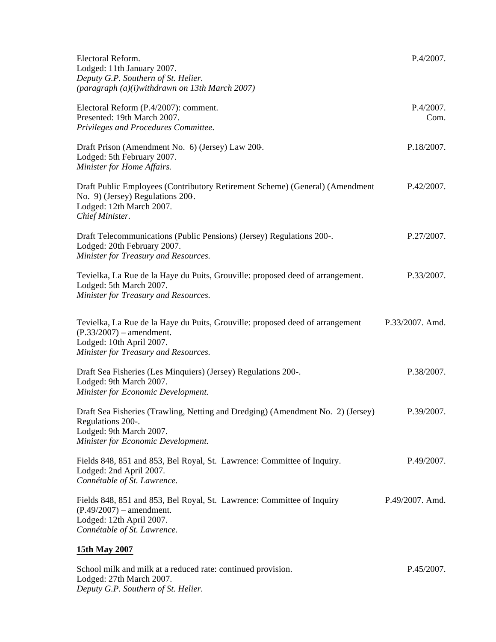| Electoral Reform.<br>Lodged: 11th January 2007.<br>Deputy G.P. Southern of St. Helier.<br>(paragraph (a)(i)withdrawn on 13th March 2007)                                        | P.4/2007.         |
|---------------------------------------------------------------------------------------------------------------------------------------------------------------------------------|-------------------|
| Electoral Reform (P.4/2007): comment.<br>Presented: 19th March 2007.<br>Privileges and Procedures Committee.                                                                    | P.4/2007.<br>Com. |
| Draft Prison (Amendment No. 6) (Jersey) Law 200.<br>Lodged: 5th February 2007.<br>Minister for Home Affairs.                                                                    | P.18/2007.        |
| Draft Public Employees (Contributory Retirement Scheme) (General) (Amendment<br>No. 9) (Jersey) Regulations 200.<br>Lodged: 12th March 2007.<br>Chief Minister.                 | P.42/2007.        |
| Draft Telecommunications (Public Pensions) (Jersey) Regulations 200-.<br>Lodged: 20th February 2007.<br>Minister for Treasury and Resources.                                    | P.27/2007.        |
| Tevielka, La Rue de la Haye du Puits, Grouville: proposed deed of arrangement.<br>Lodged: 5th March 2007.<br>Minister for Treasury and Resources.                               | P.33/2007.        |
| Tevielka, La Rue de la Haye du Puits, Grouville: proposed deed of arrangement<br>$(P.33/2007)$ – amendment.<br>Lodged: 10th April 2007.<br>Minister for Treasury and Resources. | P.33/2007. Amd.   |
| Draft Sea Fisheries (Les Minquiers) (Jersey) Regulations 200-.<br>Lodged: 9th March 2007.<br>Minister for Economic Development.                                                 | P.38/2007.        |
| Draft Sea Fisheries (Trawling, Netting and Dredging) (Amendment No. 2) (Jersey)<br>Regulations 200-.<br>Lodged: 9th March 2007.<br>Minister for Economic Development.           | P.39/2007.        |
| Fields 848, 851 and 853, Bel Royal, St. Lawrence: Committee of Inquiry.<br>Lodged: 2nd April 2007.<br>Connétable of St. Lawrence.                                               | P.49/2007.        |
| Fields 848, 851 and 853, Bel Royal, St. Lawrence: Committee of Inquiry<br>$(P.49/2007)$ – amendment.<br>Lodged: 12th April 2007.<br>Connétable of St. Lawrence.                 | P.49/2007. Amd.   |
| 15th May 2007                                                                                                                                                                   |                   |

School milk and milk at a reduced rate: continued provision. Lodged: 27th March 2007. *Deputy G.P. Southern of St. Helier.* P.45/2007.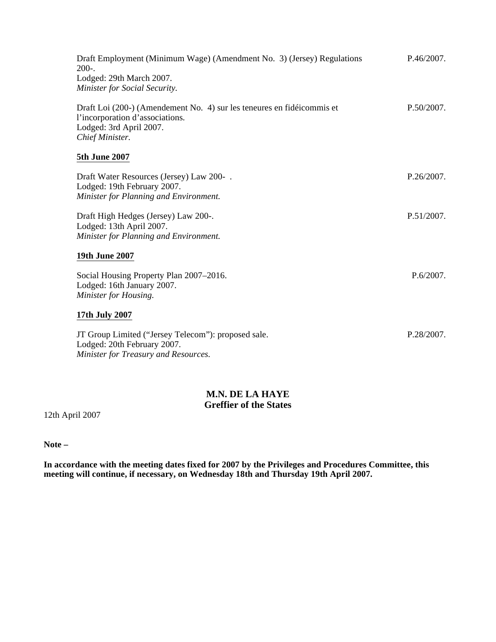| Draft Employment (Minimum Wage) (Amendment No. 3) (Jersey) Regulations<br>$200-.$<br>Lodged: 29th March 2007.<br>Minister for Social Security.          | P.46/2007. |
|---------------------------------------------------------------------------------------------------------------------------------------------------------|------------|
| Draft Loi (200-) (Amendement No. 4) sur les teneures en fidéicommis et<br>l'incorporation d'associations.<br>Lodged: 3rd April 2007.<br>Chief Minister. | P.50/2007. |
| 5th June 2007                                                                                                                                           |            |
| Draft Water Resources (Jersey) Law 200-.<br>Lodged: 19th February 2007.<br>Minister for Planning and Environment.                                       | P.26/2007. |
| Draft High Hedges (Jersey) Law 200-.<br>Lodged: 13th April 2007.<br>Minister for Planning and Environment.                                              | P.51/2007. |
| 19th June 2007                                                                                                                                          |            |
| Social Housing Property Plan 2007–2016.<br>Lodged: 16th January 2007.<br>Minister for Housing.                                                          | P.6/2007.  |
| 17th July 2007                                                                                                                                          |            |
| JT Group Limited ("Jersey Telecom"): proposed sale.<br>Lodged: 20th February 2007.<br>Minister for Treasury and Resources.                              | P.28/2007. |

# **M.N. DE LA HAYE Greffier of the States**

12th April 2007

**Note –**

**In accordance with the meeting dates fixed for 2007 by the Privileges and Procedures Committee, this meeting will continue, if necessary, on Wednesday 18th and Thursday 19th April 2007.**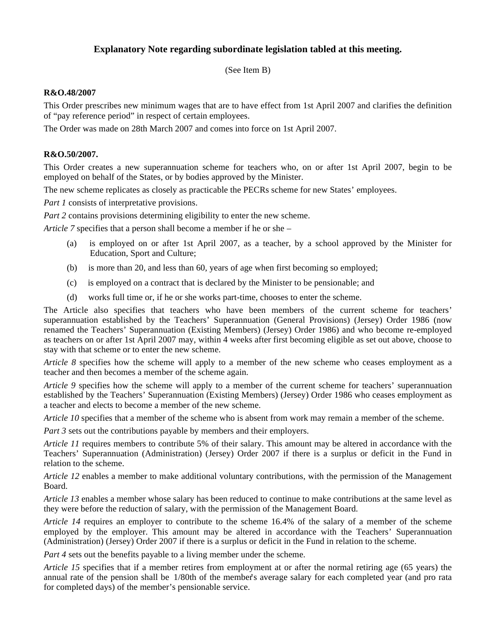# **Explanatory Note regarding subordinate legislation tabled at this meeting.**

(See Item B)

#### **R&O.48/2007**

This Order prescribes new minimum wages that are to have effect from 1st April 2007 and clarifies the definition of "pay reference period" in respect of certain employees.

The Order was made on 28th March 2007 and comes into force on 1st April 2007.

#### **R&O.50/2007.**

This Order creates a new superannuation scheme for teachers who, on or after 1st April 2007, begin to be employed on behalf of the States, or by bodies approved by the Minister.

The new scheme replicates as closely as practicable the PECRs scheme for new States' employees.

*Part 1* consists of interpretative provisions.

*Part 2* contains provisions determining eligibility to enter the new scheme.

*Article 7* specifies that a person shall become a member if he or she –

- (a) is employed on or after 1st April 2007, as a teacher, by a school approved by the Minister for Education, Sport and Culture;
- (b) is more than 20, and less than 60, years of age when first becoming so employed;
- (c) is employed on a contract that is declared by the Minister to be pensionable; and
- (d) works full time or, if he or she works part-time, chooses to enter the scheme.

The Article also specifies that teachers who have been members of the current scheme for teachers' superannuation established by the Teachers' Superannuation (General Provisions) (Jersey) Order 1986 (now renamed the Teachers' Superannuation (Existing Members) (Jersey) Order 1986) and who become re-employed as teachers on or after 1st April 2007 may, within 4 weeks after first becoming eligible as set out above, choose to stay with that scheme or to enter the new scheme.

*Article 8* specifies how the scheme will apply to a member of the new scheme who ceases employment as a teacher and then becomes a member of the scheme again.

*Article 9* specifies how the scheme will apply to a member of the current scheme for teachers' superannuation established by the Teachers' Superannuation (Existing Members) (Jersey) Order 1986 who ceases employment as a teacher and elects to become a member of the new scheme.

*Article 10* specifies that a member of the scheme who is absent from work may remain a member of the scheme.

*Part 3* sets out the contributions payable by members and their employers.

*Article 11* requires members to contribute 5% of their salary. This amount may be altered in accordance with the Teachers' Superannuation (Administration) (Jersey) Order 2007 if there is a surplus or deficit in the Fund in relation to the scheme.

*Article 12* enables a member to make additional voluntary contributions, with the permission of the Management Board.

*Article 13* enables a member whose salary has been reduced to continue to make contributions at the same level as they were before the reduction of salary, with the permission of the Management Board.

*Article 14* requires an employer to contribute to the scheme 16.4% of the salary of a member of the scheme employed by the employer. This amount may be altered in accordance with the Teachers' Superannuation (Administration) (Jersey) Order 2007 if there is a surplus or deficit in the Fund in relation to the scheme.

*Part 4* sets out the benefits payable to a living member under the scheme.

*Article 15* specifies that if a member retires from employment at or after the normal retiring age (65 years) the annual rate of the pension shall be 1/80th of the member's average salary for each completed year (and pro rata for completed days) of the member's pensionable service.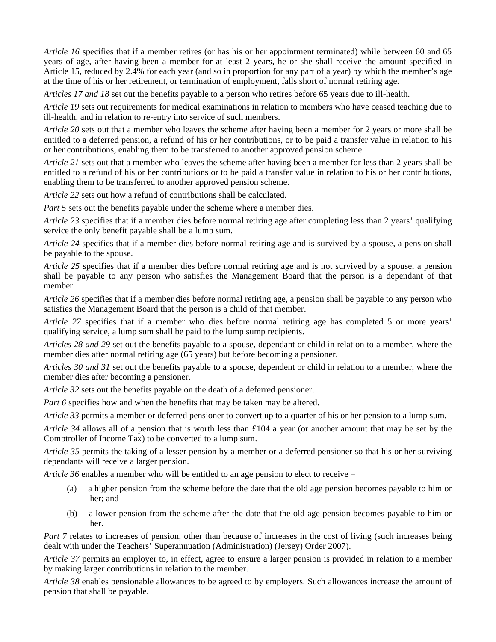*Article 16* specifies that if a member retires (or has his or her appointment terminated) while between 60 and 65 years of age, after having been a member for at least 2 years, he or she shall receive the amount specified in Article 15, reduced by 2.4% for each year (and so in proportion for any part of a year) by which the member's age at the time of his or her retirement, or termination of employment, falls short of normal retiring age.

*Articles 17 and 18* set out the benefits payable to a person who retires before 65 years due to ill-health.

*Article 19* sets out requirements for medical examinations in relation to members who have ceased teaching due to ill-health, and in relation to re-entry into service of such members.

*Article 20* sets out that a member who leaves the scheme after having been a member for 2 years or more shall be entitled to a deferred pension, a refund of his or her contributions, or to be paid a transfer value in relation to his or her contributions, enabling them to be transferred to another approved pension scheme.

*Article 21* sets out that a member who leaves the scheme after having been a member for less than 2 years shall be entitled to a refund of his or her contributions or to be paid a transfer value in relation to his or her contributions, enabling them to be transferred to another approved pension scheme.

*Article 22* sets out how a refund of contributions shall be calculated.

*Part 5* sets out the benefits payable under the scheme where a member dies.

*Article 23* specifies that if a member dies before normal retiring age after completing less than 2 years' qualifying service the only benefit payable shall be a lump sum.

*Article 24* specifies that if a member dies before normal retiring age and is survived by a spouse, a pension shall be payable to the spouse.

*Article 25* specifies that if a member dies before normal retiring age and is not survived by a spouse, a pension shall be payable to any person who satisfies the Management Board that the person is a dependant of that member.

*Article 26* specifies that if a member dies before normal retiring age, a pension shall be payable to any person who satisfies the Management Board that the person is a child of that member.

*Article 27* specifies that if a member who dies before normal retiring age has completed 5 or more years' qualifying service, a lump sum shall be paid to the lump sump recipients.

*Articles 28 and 29* set out the benefits payable to a spouse, dependant or child in relation to a member, where the member dies after normal retiring age (65 years) but before becoming a pensioner.

*Articles 30 and 31* set out the benefits payable to a spouse, dependent or child in relation to a member, where the member dies after becoming a pensioner.

*Article 32* sets out the benefits payable on the death of a deferred pensioner.

*Part 6* specifies how and when the benefits that may be taken may be altered.

*Article 33* permits a member or deferred pensioner to convert up to a quarter of his or her pension to a lump sum.

*Article 34* allows all of a pension that is worth less than £104 a year (or another amount that may be set by the Comptroller of Income Tax) to be converted to a lump sum.

*Article 35* permits the taking of a lesser pension by a member or a deferred pensioner so that his or her surviving dependants will receive a larger pension.

*Article 36* enables a member who will be entitled to an age pension to elect to receive –

- (a) a higher pension from the scheme before the date that the old age pension becomes payable to him or her; and
- (b) a lower pension from the scheme after the date that the old age pension becomes payable to him or her.

*Part 7* relates to increases of pension, other than because of increases in the cost of living (such increases being dealt with under the Teachers' Superannuation (Administration) (Jersey) Order 2007).

*Article 37* permits an employer to, in effect, agree to ensure a larger pension is provided in relation to a member by making larger contributions in relation to the member.

*Article 38* enables pensionable allowances to be agreed to by employers. Such allowances increase the amount of pension that shall be payable.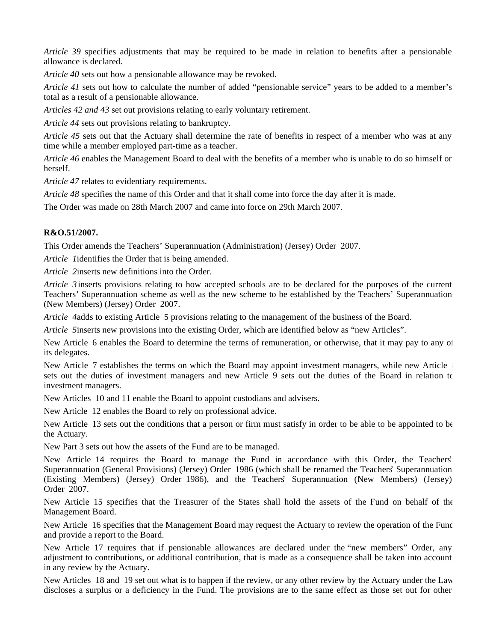*Article 39* specifies adjustments that may be required to be made in relation to benefits after a pensionable allowance is declared.

*Article 40* sets out how a pensionable allowance may be revoked.

*Article 41* sets out how to calculate the number of added "pensionable service" years to be added to a member's total as a result of a pensionable allowance.

*Articles 42 and 43* set out provisions relating to early voluntary retirement.

*Article 44* sets out provisions relating to bankruptcy.

*Article 45* sets out that the Actuary shall determine the rate of benefits in respect of a member who was at any time while a member employed part-time as a teacher.

*Article 46* enables the Management Board to deal with the benefits of a member who is unable to do so himself or herself.

*Article 47* relates to evidentiary requirements.

*Article 48* specifies the name of this Order and that it shall come into force the day after it is made.

The Order was made on 28th March 2007 and came into force on 29th March 2007.

## **R&O.51/2007.**

This Order amends the Teachers' Superannuation (Administration) (Jersey) Order 2007.

*Article 1* identifies the Order that is being amended.

*Article 2*inserts new definitions into the Order.

*Article 3* inserts provisions relating to how accepted schools are to be declared for the purposes of the current Teachers' Superannuation scheme as well as the new scheme to be established by the Teachers' Superannuation (New Members) (Jersey) Order 2007.

*Article 4*adds to existing Article 5 provisions relating to the management of the business of the Board.

*Article 5*inserts new provisions into the existing Order, which are identified below as "new Articles".

New Article 6 enables the Board to determine the terms of remuneration, or otherwise, that it may pay to any of its delegates.

New Article 7 establishes the terms on which the Board may appoint investment managers, while new Article 8 sets out the duties of investment managers and new Article 9 sets out the duties of the Board in relation to investment managers.

New Articles 10 and 11 enable the Board to appoint custodians and advisers.

New Article 12 enables the Board to rely on professional advice.

New Article 13 sets out the conditions that a person or firm must satisfy in order to be able to be appointed to be the Actuary.

New Part 3 sets out how the assets of the Fund are to be managed.

New Article 14 requires the Board to manage the Fund in accordance with this Order, the Teachers' Superannuation (General Provisions) (Jersey) Order 1986 (which shall be renamed the Teachers' Superannuation (Existing Members) (Jersey) Order 1986), and the Teachers' Superannuation (New Members) (Jersey) Order 2007.

New Article 15 specifies that the Treasurer of the States shall hold the assets of the Fund on behalf of the Management Board.

New Article 16 specifies that the Management Board may request the Actuary to review the operation of the Fund and provide a report to the Board.

New Article 17 requires that if pensionable allowances are declared under the "new members" Order, any adjustment to contributions, or additional contribution, that is made as a consequence shall be taken into account in any review by the Actuary.

New Articles 18 and 19 set out what is to happen if the review, or any other review by the Actuary under the Law, discloses a surplus or a deficiency in the Fund. The provisions are to the same effect as those set out for other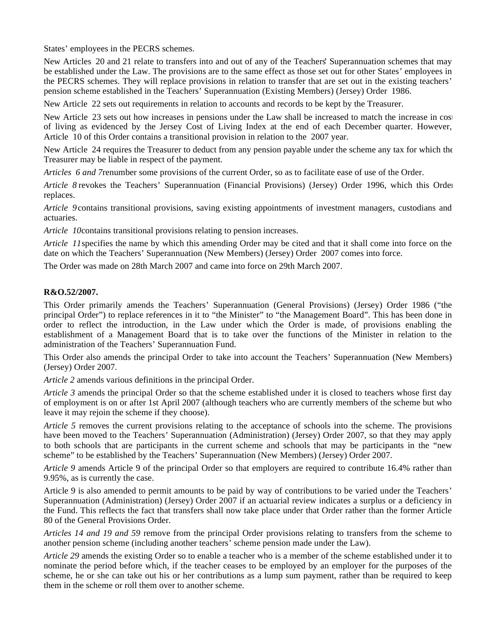States' employees in the PECRS schemes.

New Articles 20 and 21 relate to transfers into and out of any of the Teachers' Superannuation schemes that may be established under the Law. The provisions are to the same effect as those set out for other States' employees in the PECRS schemes. They will replace provisions in relation to transfer that are set out in the existing teachers' pension scheme established in the Teachers' Superannuation (Existing Members) (Jersey) Order 1986.

New Article 22 sets out requirements in relation to accounts and records to be kept by the Treasurer.

New Article 23 sets out how increases in pensions under the Law shall be increased to match the increase in cost of living as evidenced by the Jersey Cost of Living Index at the end of each December quarter. However, Article 10 of this Order contains a transitional provision in relation to the 2007 year.

New Article 24 requires the Treasurer to deduct from any pension payable under the scheme any tax for which the Treasurer may be liable in respect of the payment.

*Articles 6 and 7* renumber some provisions of the current Order, so as to facilitate ease of use of the Order.

*Article 8* revokes the Teachers' Superannuation (Financial Provisions) (Jersey) Order 1996, which this Order replaces.

*Article 9*contains transitional provisions, saving existing appointments of investment managers, custodians and actuaries.

*Article 10*contains transitional provisions relating to pension increases.

*Article 11*specifies the name by which this amending Order may be cited and that it shall come into force on the date on which the Teachers' Superannuation (New Members) (Jersey) Order 2007 comes into force.

The Order was made on 28th March 2007 and came into force on 29th March 2007.

#### **R&O.52/2007.**

This Order primarily amends the Teachers' Superannuation (General Provisions) (Jersey) Order 1986 ("the principal Order") to replace references in it to "the Minister" to "the Management Board". This has been done in order to reflect the introduction, in the Law under which the Order is made, of provisions enabling the establishment of a Management Board that is to take over the functions of the Minister in relation to the administration of the Teachers' Superannuation Fund.

This Order also amends the principal Order to take into account the Teachers' Superannuation (New Members) (Jersey) Order 2007.

*Article 2* amends various definitions in the principal Order.

*Article 3* amends the principal Order so that the scheme established under it is closed to teachers whose first day of employment is on or after 1st April 2007 (although teachers who are currently members of the scheme but who leave it may rejoin the scheme if they choose).

*Article 5* removes the current provisions relating to the acceptance of schools into the scheme. The provisions have been moved to the Teachers' Superannuation (Administration) (Jersey) Order 2007, so that they may apply to both schools that are participants in the current scheme and schools that may be participants in the "new scheme" to be established by the Teachers' Superannuation (New Members) (Jersey) Order 2007.

*Article 9* amends Article 9 of the principal Order so that employers are required to contribute 16.4% rather than 9.95%, as is currently the case.

Article 9 is also amended to permit amounts to be paid by way of contributions to be varied under the Teachers' Superannuation (Administration) (Jersey) Order 2007 if an actuarial review indicates a surplus or a deficiency in the Fund. This reflects the fact that transfers shall now take place under that Order rather than the former Article 80 of the General Provisions Order.

*Articles 14 and 19 and 59* remove from the principal Order provisions relating to transfers from the scheme to another pension scheme (including another teachers' scheme pension made under the Law).

*Article 29* amends the existing Order so to enable a teacher who is a member of the scheme established under it to nominate the period before which, if the teacher ceases to be employed by an employer for the purposes of the scheme, he or she can take out his or her contributions as a lump sum payment, rather than be required to keep them in the scheme or roll them over to another scheme.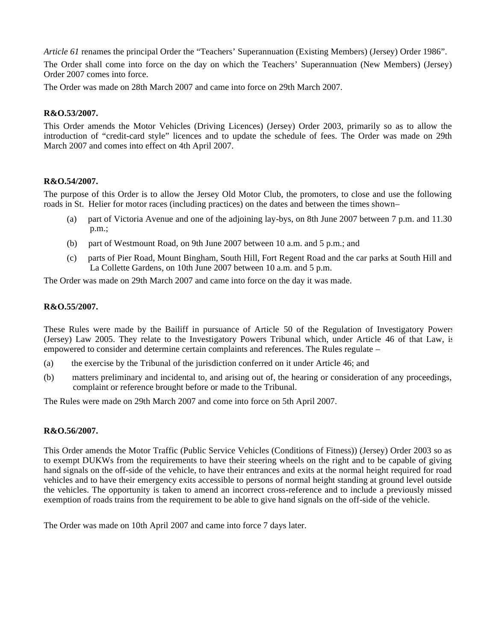*Article 61* renames the principal Order the "Teachers' Superannuation (Existing Members) (Jersey) Order 1986".

The Order shall come into force on the day on which the Teachers' Superannuation (New Members) (Jersey) Order 2007 comes into force.

The Order was made on 28th March 2007 and came into force on 29th March 2007.

#### **R&O.53/2007.**

This Order amends the Motor Vehicles (Driving Licences) (Jersey) Order 2003, primarily so as to allow the introduction of "credit-card style" licences and to update the schedule of fees. The Order was made on 29th March 2007 and comes into effect on 4th April 2007.

#### **R&O.54/2007.**

The purpose of this Order is to allow the Jersey Old Motor Club, the promoters, to close and use the following roads in St. Helier for motor races (including practices) on the dates and between the times shown-

- (a) part of Victoria Avenue and one of the adjoining lay-bys, on 8th June 2007 between 7 p.m. and 11.30 p.m.;
- (b) part of Westmount Road, on 9th June 2007 between 10 a.m. and 5 p.m.; and
- (c) parts of Pier Road, Mount Bingham, South Hill, Fort Regent Road and the car parks at South Hill and La Collette Gardens, on 10th June 2007 between 10 a.m. and 5 p.m.

The Order was made on 29th March 2007 and came into force on the day it was made.

#### **R&O.55/2007.**

These Rules were made by the Bailiff in pursuance of Article 50 of the Regulation of Investigatory Powers (Jersey) Law 2005. They relate to the Investigatory Powers Tribunal which, under Article 46 of that Law, is empowered to consider and determine certain complaints and references. The Rules regulate –

- (a) the exercise by the Tribunal of the jurisdiction conferred on it under Article 46; and
- (b) matters preliminary and incidental to, and arising out of, the hearing or consideration of any proceedings, complaint or reference brought before or made to the Tribunal.

The Rules were made on 29th March 2007 and come into force on 5th April 2007.

#### **R&O.56/2007.**

This Order amends the Motor Traffic (Public Service Vehicles (Conditions of Fitness)) (Jersey) Order 2003 so as to exempt DUKWs from the requirements to have their steering wheels on the right and to be capable of giving hand signals on the off-side of the vehicle, to have their entrances and exits at the normal height required for road vehicles and to have their emergency exits accessible to persons of normal height standing at ground level outside the vehicles. The opportunity is taken to amend an incorrect cross-reference and to include a previously missed exemption of roads trains from the requirement to be able to give hand signals on the off-side of the vehicle.

The Order was made on 10th April 2007 and came into force 7 days later.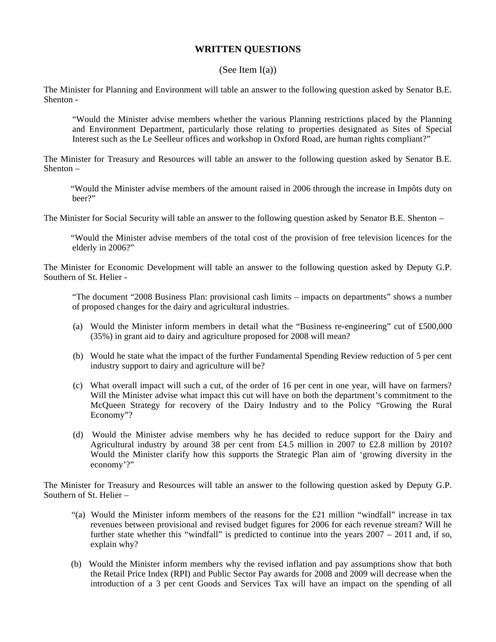# **WRITTEN QUESTIONS**

### (See Item  $I(a)$ )

The Minister for Planning and Environment will table an answer to the following question asked by Senator B.E. Shenton -

"Would the Minister advise members whether the various Planning restrictions placed by the Planning and Environment Department, particularly those relating to properties designated as Sites of Special Interest such as the Le Seelleur offices and workshop in Oxford Road, are human rights compliant?"

The Minister for Treasury and Resources will table an answer to the following question asked by Senator B.E. Shenton –

 "Would the Minister advise members of the amount raised in 2006 through the increase in Impôts duty on beer?"

The Minister for Social Security will table an answer to the following question asked by Senator B.E. Shenton –

 "Would the Minister advise members of the total cost of the provision of free television licences for the elderly in 2006?"

The Minister for Economic Development will table an answer to the following question asked by Deputy G.P. Southern of St. Helier -

"The document "2008 Business Plan: provisional cash limits – impacts on departments" shows a number of proposed changes for the dairy and agricultural industries.

- (a) Would the Minister inform members in detail what the "Business re-engineering" cut of £500,000 (35%) in grant aid to dairy and agriculture proposed for 2008 will mean?
- (b) Would he state what the impact of the further Fundamental Spending Review reduction of 5 per cent industry support to dairy and agriculture will be?
- (c) What overall impact will such a cut, of the order of 16 per cent in one year, will have on farmers? Will the Minister advise what impact this cut will have on both the department's commitment to the McQueen Strategy for recovery of the Dairy Industry and to the Policy "Growing the Rural Economy"?
- (d) Would the Minister advise members why he has decided to reduce support for the Dairy and Agricultural industry by around 38 per cent from £4.5 million in 2007 to £2.8 million by 2010? Would the Minister clarify how this supports the Strategic Plan aim of 'growing diversity in the economy'?"

The Minister for Treasury and Resources will table an answer to the following question asked by Deputy G.P. Southern of St. Helier –

- "(a) Would the Minister inform members of the reasons for the £21 million "windfall" increase in tax revenues between provisional and revised budget figures for 2006 for each revenue stream? Will he further state whether this "windfall" is predicted to continue into the years 2007 – 2011 and, if so, explain why?
- (b) Would the Minister inform members why the revised inflation and pay assumptions show that both the Retail Price Index (RPI) and Public Sector Pay awards for 2008 and 2009 will decrease when the introduction of a 3 per cent Goods and Services Tax will have an impact on the spending of all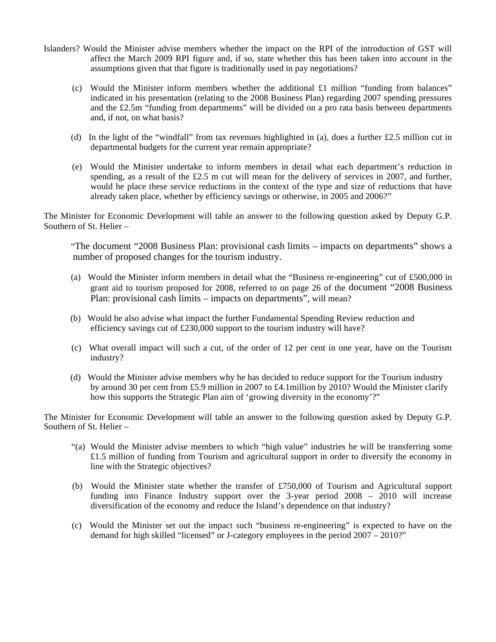- Islanders? Would the Minister advise members whether the impact on the RPI of the introduction of GST will affect the March 2009 RPI figure and, if so, state whether this has been taken into account in the assumptions given that that figure is traditionally used in pay negotiations?
	- (c) Would the Minister inform members whether the additional  $\pounds 1$  million "funding from balances" indicated in his presentation (relating to the 2008 Business Plan) regarding 2007 spending pressures and the £2.5m "funding from departments" will be divided on a pro rata basis between departments and, if not, on what basis?
	- (d) In the light of the "windfall" from tax revenues highlighted in (a), does a further £2.5 million cut in departmental budgets for the current year remain appropriate?
	- (e) Would the Minister undertake to inform members in detail what each department's reduction in spending, as a result of the £2.5 m cut will mean for the delivery of services in 2007, and further, would he place these service reductions in the context of the type and size of reductions that have already taken place, whether by efficiency savings or otherwise, in 2005 and 2006?"

The Minister for Economic Development will table an answer to the following question asked by Deputy G.P. Southern of St. Helier –

 "The document "2008 Business Plan: provisional cash limits – impacts on departments" shows a number of proposed changes for the tourism industry.

- (a) Would the Minister inform members in detail what the "Business re-engineering" cut of £500,000 in grant aid to tourism proposed for 2008, referred to on page 26 of the document "2008 Business Plan: provisional cash limits – impacts on departments", will mean?
- (b) Would he also advise what impact the further Fundamental Spending Review reduction and efficiency savings cut of £230,000 support to the tourism industry will have?
- (c) What overall impact will such a cut, of the order of 12 per cent in one year, have on the Tourism industry?
- (d) Would the Minister advise members why he has decided to reduce support for the Tourism industry by around 30 per cent from £5.9 million in 2007 to £4.1million by 2010? Would the Minister clarify how this supports the Strategic Plan aim of 'growing diversity in the economy'?"

The Minister for Economic Development will table an answer to the following question asked by Deputy G.P. Southern of St. Helier –

- "(a) Would the Minister advise members to which "high value" industries he will be transferring some £1.5 million of funding from Tourism and agricultural support in order to diversify the economy in line with the Strategic objectives?
- (b) Would the Minister state whether the transfer of £750,000 of Tourism and Agricultural support funding into Finance Industry support over the 3-year period 2008 – 2010 will increase diversification of the economy and reduce the Island's dependence on that industry?
- (c) Would the Minister set out the impact such "business re-engineering" is expected to have on the demand for high skilled "licensed" or J-category employees in the period 2007 – 2010?"